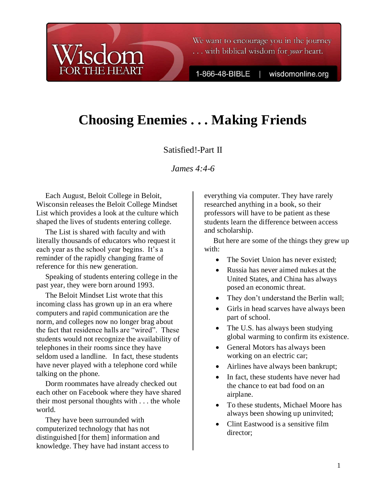

We want to encourage you in the journey ... with biblical wisdom for *your* heart.

1-866-48-BIBLE

wisdomonline.org

# **Choosing Enemies . . . Making Friends**

# Satisfied!-Part II

*James 4:4-6*

Each August, Beloit College in Beloit, Wisconsin releases the Beloit College Mindset List which provides a look at the culture which shaped the lives of students entering college.

The List is shared with faculty and with literally thousands of educators who request it each year as the school year begins. It's a reminder of the rapidly changing frame of reference for this new generation.

Speaking of students entering college in the past year, they were born around 1993.

The Beloit Mindset List wrote that this incoming class has grown up in an era where computers and rapid communication are the norm, and colleges now no longer brag about the fact that residence halls are "wired". These students would not recognize the availability of telephones in their rooms since they have seldom used a landline. In fact, these students have never played with a telephone cord while talking on the phone.

Dorm roommates have already checked out each other on Facebook where they have shared their most personal thoughts with . . . the whole world.

They have been surrounded with computerized technology that has not distinguished [for them] information and knowledge. They have had instant access to everything via computer. They have rarely researched anything in a book, so their professors will have to be patient as these students learn the difference between access and scholarship.

But here are some of the things they grew up with:

- The Soviet Union has never existed;
- Russia has never aimed nukes at the United States, and China has always posed an economic threat.
- They don't understand the Berlin wall;
- Girls in head scarves have always been part of school.
- The U.S. has always been studying global warming to confirm its existence.
- General Motors has always been working on an electric car;
- Airlines have always been bankrupt;
- In fact, these students have never had the chance to eat bad food on an airplane.
- To these students, Michael Moore has always been showing up uninvited;
- Clint Eastwood is a sensitive film director;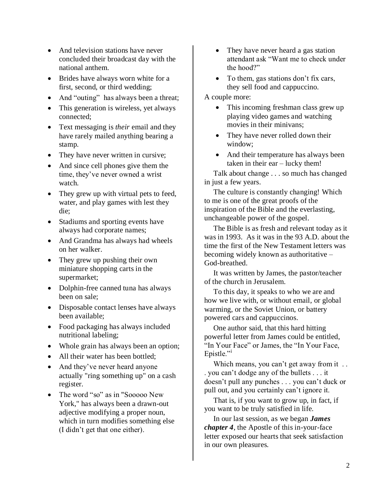- And television stations have never concluded their broadcast day with the national anthem.
- Brides have always worn white for a first, second, or third wedding;
- And "outing" has always been a threat;
- This generation is wireless, yet always connected;
- Text messaging is *their* email and they have rarely mailed anything bearing a stamp.
- They have never written in cursive;
- And since cell phones give them the time, they've never owned a wrist watch.
- They grew up with virtual pets to feed, water, and play games with lest they die;
- Stadiums and sporting events have always had corporate names;
- And Grandma has always had wheels on her walker.
- They grew up pushing their own miniature shopping carts in the supermarket;
- Dolphin-free canned tuna has always been on sale;
- Disposable contact lenses have always been available;
- Food packaging has always included nutritional labeling;
- Whole grain has always been an option;
- All their water has been bottled:
- And they've never heard anyone actually "ring something up" on a cash register.
- The word "so" as in "Sooooo New York," has always been a drawn-out adjective modifying a proper noun, which in turn modifies something else (I didn't get that one either).
- They have never heard a gas station attendant ask "Want me to check under the hood?"
- To them, gas stations don't fix cars, they sell food and cappuccino.

A couple more:

- This incoming freshman class grew up playing video games and watching movies in their minivans;
- They have never rolled down their window;
- And their temperature has always been taken in their ear – lucky them!

Talk about change . . . so much has changed in just a few years.

The culture is constantly changing! Which to me is one of the great proofs of the inspiration of the Bible and the everlasting, unchangeable power of the gospel.

The Bible is as fresh and relevant today as it was in 1993. As it was in the 93 A.D. about the time the first of the New Testament letters was becoming widely known as authoritative – God-breathed.

It was written by James, the pastor/teacher of the church in Jerusalem.

To this day, it speaks to who we are and how we live with, or without email, or global warming, or the Soviet Union, or battery powered cars and cappuccinos.

One author said, that this hard hitting powerful letter from James could be entitled, "In Your Face" or James, the "In Your Face, Epistle."

Which means, you can't get away from it ... . you can't dodge any of the bullets . . . it doesn't pull any punches . . . you can't duck or pull out, and you certainly can't ignore it.

That is, if you want to grow up, in fact, if you want to be truly satisfied in life.

In our last session, as we began *James chapter 4*, the Apostle of this in-your-face letter exposed our hearts that seek satisfaction in our own pleasures.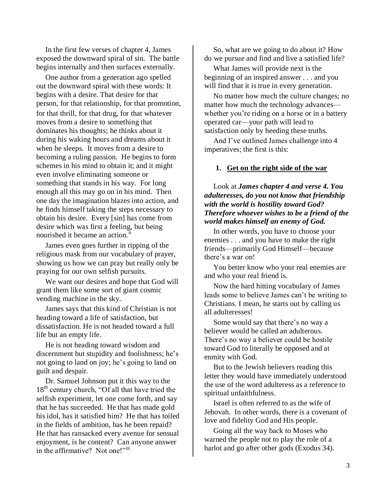In the first few verses of chapter 4, James exposed the downward spiral of sin. The battle begins internally and then surfaces externally.

One author from a generation ago spelled out the downward spiral with these words: It begins with a desire. That desire for that person, for that relationship, for that promotion, for that thrill, for that drug, for that whatever moves from a desire to something that dominates his thoughts; he thinks about it during his waking hours and dreams about it when he sleeps. It moves from a desire to becoming a ruling passion. He begins to form schemes in his mind to obtain it; and it might even involve eliminating someone or something that stands in his way. For long enough all this may go on in his mind. Then one day the imagination blazes into action, and he finds himself taking the steps necessary to obtain his desire. Every [sin] has come from desire which was first a feeling, but being nourished it became an action.<sup>11</sup>

James even goes further in ripping of the religious mask from our vocabulary of prayer, showing us how we can pray but really only be praying for our own selfish pursuits.

We want our desires and hope that God will grant them like some sort of giant cosmic vending machine in the sky.

James says that this kind of Christian is not heading toward a life of satisfaction, but dissatisfaction. He is not headed toward a full life but an empty life.

He is not heading toward wisdom and discernment but stupidity and foolishness; he's not going to land on joy; he's going to land on guilt and despair.

Dr. Samuel Johnson put it this way to the  $18<sup>th</sup>$  century church, "Of all that have tried the selfish experiment, let one come forth, and say that he has succeeded. He that has made gold his idol, has it satisfied him? He that has toiled in the fields of ambition, has he been repaid? He that has ransacked every avenue for sensual enjoyment, is he content? Can anyone answer in the affirmative? Not one!"iii

So, what are we going to do about it? How do we pursue and find and live a satisfied life?

What James will provide next is the beginning of an inspired answer . . . and you will find that it is true in every generation.

No matter how much the culture changes; no matter how much the technology advances whether you're riding on a horse or in a battery operated car—your path will lead to satisfaction only by heeding these truths.

And I've outlined James challenge into 4 imperatives; the first is this:

#### **1. Get on the right side of the war**

Look at *James chapter 4 and verse 4. You adulteresses, do you not know that friendship with the world is hostility toward God? Therefore whoever wishes to be a friend of the world makes himself an enemy of God.*

In other words, you have to choose your enemies . . . and you have to make the right friends—primarily God Himself—because there's a war on!

You better know who your real enemies are and who your real friend is.

Now the hard hitting vocabulary of James leads some to believe James can't be writing to Christians. I mean, he starts out by calling us all adulteresses!

Some would say that there's no way a believer would be called an adulterous. There's no way a believer could be hostile toward God to literally be opposed and at enmity with God.

But to the Jewish believers reading this letter they would have immediately understood the use of the word adulteress as a reference to spiritual unfaithfulness.

Israel is often referred to as the wife of Jehovah. In other words, there is a covenant of love and fidelity God and His people.

Going all the way back to Moses who warned the people not to play the role of a harlot and go after other gods (Exodus 34).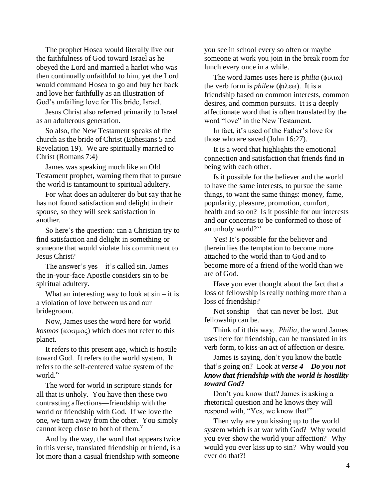The prophet Hosea would literally live out the faithfulness of God toward Israel as he obeyed the Lord and married a harlot who was then continually unfaithful to him, yet the Lord would command Hosea to go and buy her back and love her faithfully as an illustration of God's unfailing love for His bride, Israel.

Jesus Christ also referred primarily to Israel as an adulterous generation.

So also, the New Testament speaks of the church as the bride of Christ (Ephesians 5 and Revelation 19). We are spiritually married to Christ (Romans 7:4)

James was speaking much like an Old Testament prophet, warning them that to pursue the world is tantamount to spiritual adultery.

For what does an adulterer do but say that he has not found satisfaction and delight in their spouse, so they will seek satisfaction in another.

So here's the question: can a Christian try to find satisfaction and delight in something or someone that would violate his commitment to Jesus Christ?

The answer's yes—it's called sin. James the in-your-face Apostle considers sin to be spiritual adultery.

What an interesting way to look at  $sin - it$  is a violation of love between us and our bridegroom.

Now, James uses the word here for world  $kosmos$  ( $kooµ$ <sup>o</sup> $\varsigma$ ) which does not refer to this planet.

It refers to this present age, which is hostile toward God. It refers to the world system. It refers to the self-centered value system of the world.<sup>iv</sup>

The word for world in scripture stands for all that is unholy. You have then these two contrasting affections—friendship with the world or friendship with God. If we love the one, we turn away from the other. You simply cannot keep close to both of them. $v$ 

And by the way, the word that appears twice in this verse, translated friendship or friend, is a lot more than a casual friendship with someone

you see in school every so often or maybe someone at work you join in the break room for lunch every once in a while.

The word James uses here is *philia* ( $\phi \iota \lambda i\alpha$ ) the verb form is *philew* ( $\phi \lambda \epsilon \omega$ ). It is a friendship based on common interests, common desires, and common pursuits. It is a deeply affectionate word that is often translated by the word "love" in the New Testament.

In fact, it's used of the Father's love for those who are saved (John 16:27).

It is a word that highlights the emotional connection and satisfaction that friends find in being with each other.

Is it possible for the believer and the world to have the same interests, to pursue the same things, to want the same things: money, fame, popularity, pleasure, promotion, comfort, health and so on? Is it possible for our interests and our concerns to be conformed to those of an unholy world? $v^{\text{vi}}$ 

Yes! It's possible for the believer and therein lies the temptation to become more attached to the world than to God and to become more of a friend of the world than we are of God.

Have you ever thought about the fact that a loss of fellowship is really nothing more than a loss of friendship?

Not sonship—that can never be lost. But fellowship can be.

Think of it this way. *Philia*, the word James uses here for friendship, can be translated in its verb form, to kiss-an act of affection or desire.

James is saying, don't you know the battle that's going on? Look at *verse 4 – Do you not know that friendship with the world is hostility toward God?*

Don't you know that? James is asking a rhetorical question and he knows they will respond with, "Yes, we know that!"

Then why are you kissing up to the world system which is at war with God? Why would you ever show the world your affection? Why would you ever kiss up to sin? Why would you ever do that?!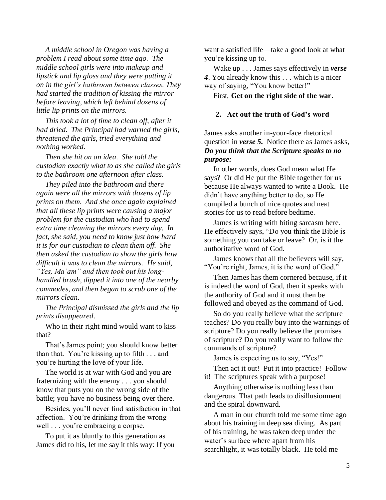*A middle school in Oregon was having a problem I read about some time ago. The middle school girls were into makeup and lipstick and lip gloss and they were putting it on in the girl's bathroom between classes. They had started the tradition of kissing the mirror before leaving, which left behind dozens of little lip prints on the mirrors.*

*This took a lot of time to clean off, after it had dried. The Principal had warned the girls, threatened the girls, tried everything and nothing worked.*

*Then she hit on an idea. She told the custodian exactly what to as she called the girls to the bathroom one afternoon after class.*

*They piled into the bathroom and there again were all the mirrors with dozens of lip prints on them. And she once again explained that all these lip prints were causing a major problem for the custodian who had to spend extra time cleaning the mirrors every day. In fact, she said, you need to know just how hard it is for our custodian to clean them off. She then asked the custodian to show the girls how difficult it was to clean the mirrors. He said,* 

*"Yes, Ma'am" and then took out his longhandled brush, dipped it into one of the nearby commodes, and then began to scrub one of the mirrors clean.*

*The Principal dismissed the girls and the lip prints disappeared*.

Who in their right mind would want to kiss that?

That's James point; you should know better than that. You're kissing up to filth . . . and you're hurting the love of your life.

The world is at war with God and you are fraternizing with the enemy . . . you should know that puts you on the wrong side of the battle; you have no business being over there.

Besides, you'll never find satisfaction in that affection. You're drinking from the wrong well . . . you're embracing a corpse.

To put it as bluntly to this generation as James did to his, let me say it this way: If you want a satisfied life—take a good look at what you're kissing up to.

Wake up . . . James says effectively in *verse 4*. You already know this . . . which is a nicer way of saying, "You know better!"

First, **Get on the right side of the war.**

#### **2. Act out the truth of God's word**

James asks another in-your-face rhetorical question in *verse 5.* Notice there as James asks, *Do you think that the Scripture speaks to no purpose:*

In other words, does God mean what He says? Or did He put the Bible together for us because He always wanted to write a Book. He didn't have anything better to do, so He compiled a bunch of nice quotes and neat stories for us to read before bedtime.

James is writing with biting sarcasm here. He effectively says, "Do you think the Bible is something you can take or leave? Or, is it the authoritative word of God.

James knows that all the believers will say, "You're right, James, it is the word of God."

Then James has them cornered because, if it is indeed the word of God, then it speaks with the authority of God and it must then be followed and obeyed as the command of God.

So do you really believe what the scripture teaches? Do you really buy into the warnings of scripture? Do you really believe the promises of scripture? Do you really want to follow the commands of scripture?

James is expecting us to say, "Yes!"

Then act it out! Put it into practice! Follow it! The scriptures speak with a purpose!

Anything otherwise is nothing less than dangerous. That path leads to disillusionment and the spiral downward.

A man in our church told me some time ago about his training in deep sea diving. As part of his training, he was taken deep under the water's surface where apart from his searchlight, it was totally black. He told me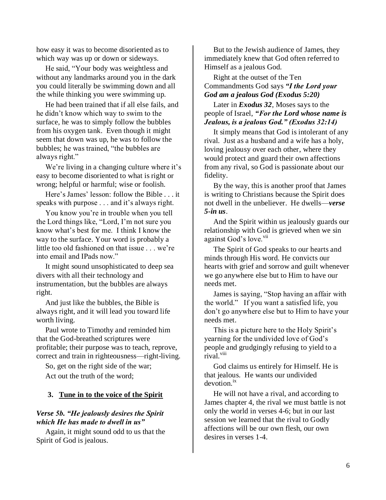how easy it was to become disoriented as to which way was up or down or sideways.

He said, "Your body was weightless and without any landmarks around you in the dark you could literally be swimming down and all the while thinking you were swimming up.

He had been trained that if all else fails, and he didn't know which way to swim to the surface, he was to simply follow the bubbles from his oxygen tank. Even though it might seem that down was up, he was to follow the bubbles; he was trained, "the bubbles are always right."

We're living in a changing culture where it's easy to become disoriented to what is right or wrong; helpful or harmful; wise or foolish.

Here's James' lesson: follow the Bible . . . it speaks with purpose . . . and it's always right.

You know you're in trouble when you tell the Lord things like, "Lord, I'm not sure you know what's best for me. I think I know the way to the surface. Your word is probably a little too old fashioned on that issue . . . we're into email and IPads now."

It might sound unsophisticated to deep sea divers with all their technology and instrumentation, but the bubbles are always right.

And just like the bubbles, the Bible is always right, and it will lead you toward life worth living.

Paul wrote to Timothy and reminded him that the God-breathed scriptures were profitable; their purpose was to teach, reprove, correct and train in righteousness—right-living.

So, get on the right side of the war; Act out the truth of the word;

#### **3. Tune in to the voice of the Spirit**

## *Verse 5b. "He jealously desires the Spirit which He has made to dwell in us"*

Again, it might sound odd to us that the Spirit of God is jealous.

But to the Jewish audience of James, they immediately knew that God often referred to Himself as a jealous God.

Right at the outset of the Ten Commandments God says *"I the Lord your God am a jealous God (Exodus 5:20)*

Later in *Exodus 32*, Moses says to the people of Israel, *"For the Lord whose name is Jealous, is a jealous God." (Exodus 32:14)*

It simply means that God is intolerant of any rival. Just as a husband and a wife has a holy, loving jealousy over each other, where they would protect and guard their own affections from any rival, so God is passionate about our fidelity.

By the way, this is another proof that James is writing to Christians because the Spirit does not dwell in the unbeliever. He dwells—*verse 5-in us*.

And the Spirit within us jealously guards our relationship with God is grieved when we sin against God's love.<sup>vii</sup>

The Spirit of God speaks to our hearts and minds through His word. He convicts our hearts with grief and sorrow and guilt whenever we go anywhere else but to Him to have our needs met.

James is saying, "Stop having an affair with the world.‖ If you want a satisfied life, you don't go anywhere else but to Him to have your needs met.

This is a picture here to the Holy Spirit's yearning for the undivided love of God's people and grudgingly refusing to yield to a rival.<sup>viii</sup>

God claims us entirely for Himself. He is that jealous. He wants our undivided  $devotion<sup>ix</sup>$ 

He will not have a rival, and according to James chapter 4, the rival we must battle is not only the world in verses 4-6; but in our last session we learned that the rival to Godly affections will be our own flesh, our own desires in verses 1-4.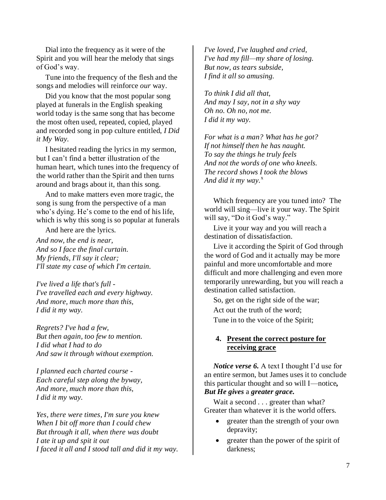Dial into the frequency as it were of the Spirit and you will hear the melody that sings of God's way.

Tune into the frequency of the flesh and the songs and melodies will reinforce *our* way.

Did you know that the most popular song played at funerals in the English speaking world today is the same song that has become the most often used, repeated, copied, played and recorded song in pop culture entitled, *I Did it My Way.*

I hesitated reading the lyrics in my sermon, but I can't find a better illustration of the human heart, which tunes into the frequency of the world rather than the Spirit and then turns around and brags about it, than this song.

And to make matters even more tragic, the song is sung from the perspective of a man who's dying. He's come to the end of his life, which is why this song is so popular at funerals

And here are the lyrics.

*And now, the end is near, And so I face the final curtain. My friends, I'll say it clear; I'll state my case of which I'm certain.* 

*I've lived a life that's full - I've travelled each and every highway. And more, much more than this, I did it my way.* 

*Regrets? I've had a few, But then again, too few to mention. I did what I had to do And saw it through without exemption.* 

*I planned each charted course - Each careful step along the byway, And more, much more than this, I did it my way.* 

*Yes, there were times, I'm sure you knew When I bit off more than I could chew But through it all, when there was doubt I ate it up and spit it out I faced it all and I stood tall and did it my way.*

*I've loved, I've laughed and cried, I've had my fill—my share of losing. But now, as tears subside, I find it all so amusing.* 

*To think I did all that, And may I say, not in a shy way Oh no. Oh no, not me. I did it my way.* 

*For what is a man? What has he got? If not himself then he has naught. To say the things he truly feels And not the words of one who kneels. The record shows I took the blows*  And did it my way.<sup>x</sup>

Which frequency are you tuned into? The world will sing—live it your way. The Spirit will say, "Do it God's way."

Live it your way and you will reach a destination of dissatisfaction.

Live it according the Spirit of God through the word of God and it actually may be more painful and more uncomfortable and more difficult and more challenging and even more temporarily unrewarding, but you will reach a destination called satisfaction.

So, get on the right side of the war; Act out the truth of the word; Tune in to the voice of the Spirit;

## **4. Present the correct posture for receiving grace**

*Notice verse 6.* A text I thought I'd use for an entire sermon, but James uses it to conclude this particular thought and so will I—notice*, But He gives* a *greater grace.*

Wait a second . . . greater than what? Greater than whatever it is the world offers.

- greater than the strength of your own depravity;
- greater than the power of the spirit of darkness;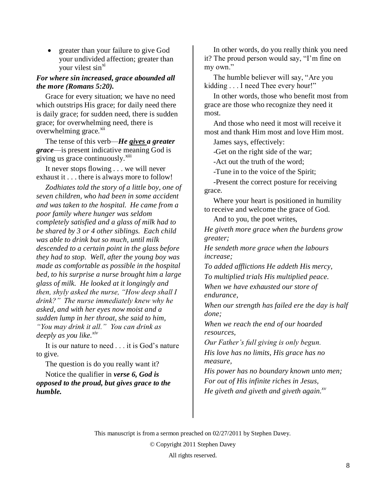• greater than your failure to give God your undivided affection; greater than your vilest  $sin^{xi}$ 

#### *For where sin increased, grace abounded all the more (Romans 5:20).*

Grace for every situation; we have no need which outstrips His grace; for daily need there is daily grace; for sudden need, there is sudden grace; for overwhelming need, there is overwhelming grace.<sup>xii</sup>

The tense of this verb—*He gives a greater grace*—is present indicative meaning God is giving us grace continuously.<sup>xiii</sup>

It never stops flowing . . . we will never exhaust it . . . there is always more to follow!

*Zodhiates told the story of a little boy, one of seven children, who had been in some accident and was taken to the hospital. He came from a poor family where hunger was seldom completely satisfied and a glass of milk had to be shared by 3 or 4 other siblings. Each child was able to drink but so much, until milk descended to a certain point in the glass before they had to stop. Well, after the young boy was made as comfortable as possible in the hospital bed, to his surprise a nurse brought him a large glass of milk. He looked at it longingly and then, shyly asked the nurse, "How deep shall I drink?" The nurse immediately knew why he asked, and with her eyes now moist and a sudden lump in her throat, she said to him, "You may drink it all." You can drink as deeply as you like.xiv*

It is our nature to need . . . it is God's nature to give.

The question is do you really want it?

Notice the qualifier in *verse 6, God is opposed to the proud, but gives grace to the humble.*

In other words, do you really think you need it? The proud person would say, "I'm fine on my own."

The humble believer will say, "Are you kidding . . . I need Thee every hour!"

In other words, those who benefit most from grace are those who recognize they need it most.

And those who need it most will receive it most and thank Him most and love Him most.

James says, effectively:

-Get on the right side of the war;

-Act out the truth of the word;

-Tune in to the voice of the Spirit;

-Present the correct posture for receiving grace.

Where your heart is positioned in humility to receive and welcome the grace of God.

And to you, the poet writes,

*He giveth more grace when the burdens grow greater;*

*He sendeth more grace when the labours increase;*

*To added afflictions He addeth His mercy, To multiplied trials His multiplied peace. When we have exhausted our store of endurance,*

*When our strength has failed ere the day is half done;*

*When we reach the end of our hoarded resources,*

*Our Father's full giving is only begun. His love has no limits, His grace has no measure,*

*His power has no boundary known unto men; For out of His infinite riches in Jesus, He giveth and giveth and giveth again.xv*

This manuscript is from a sermon preached on 02/27/2011 by Stephen Davey. © Copyright 2011 Stephen Davey All rights reserved.